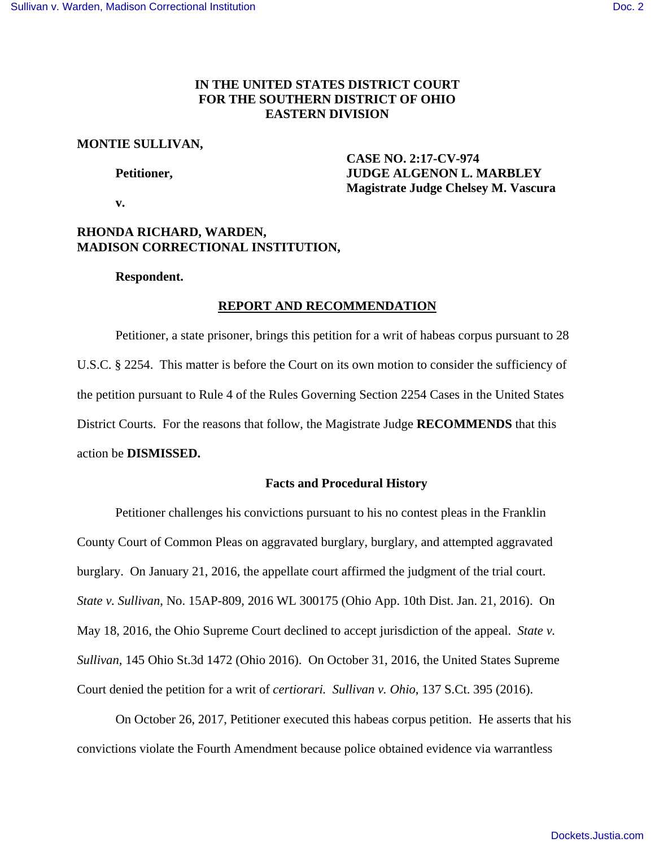# **IN THE UNITED STATES DISTRICT COURT FOR THE SOUTHERN DISTRICT OF OHIO EASTERN DIVISION**

#### **MONTIE SULLIVAN,**

 **CASE NO. 2:17-CV-974 Petitioner, JUDGE ALGENON L. MARBLEY Magistrate Judge Chelsey M. Vascura** 

 **v.** 

# **RHONDA RICHARD, WARDEN, MADISON CORRECTIONAL INSTITUTION,**

# **Respondent.**

# **REPORT AND RECOMMENDATION**

Petitioner, a state prisoner, brings this petition for a writ of habeas corpus pursuant to 28 U.S.C. § 2254. This matter is before the Court on its own motion to consider the sufficiency of the petition pursuant to Rule 4 of the Rules Governing Section 2254 Cases in the United States District Courts. For the reasons that follow, the Magistrate Judge **RECOMMENDS** that this action be **DISMISSED.** 

# **Facts and Procedural History**

 Petitioner challenges his convictions pursuant to his no contest pleas in the Franklin County Court of Common Pleas on aggravated burglary, burglary, and attempted aggravated burglary. On January 21, 2016, the appellate court affirmed the judgment of the trial court. *State v. Sullivan*, No. 15AP-809, 2016 WL 300175 (Ohio App. 10th Dist. Jan. 21, 2016). On May 18, 2016, the Ohio Supreme Court declined to accept jurisdiction of the appeal. *State v. Sullivan,* 145 Ohio St.3d 1472 (Ohio 2016). On October 31, 2016, the United States Supreme Court denied the petition for a writ of *certiorari. Sullivan v. Ohio*, 137 S.Ct. 395 (2016).

On October 26, 2017, Petitioner executed this habeas corpus petition. He asserts that his convictions violate the Fourth Amendment because police obtained evidence via warrantless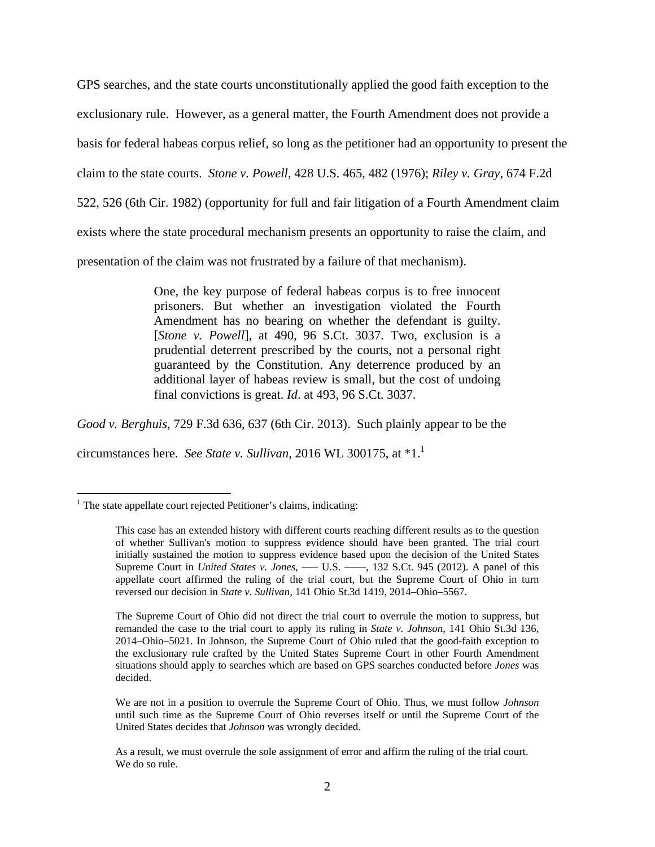GPS searches, and the state courts unconstitutionally applied the good faith exception to the exclusionary rule. However, as a general matter, the Fourth Amendment does not provide a basis for federal habeas corpus relief, so long as the petitioner had an opportunity to present the claim to the state courts. *Stone v. Powell*, 428 U.S. 465, 482 (1976); *Riley v. Gray*, 674 F.2d 522, 526 (6th Cir. 1982) (opportunity for full and fair litigation of a Fourth Amendment claim exists where the state procedural mechanism presents an opportunity to raise the claim, and presentation of the claim was not frustrated by a failure of that mechanism).

> One, the key purpose of federal habeas corpus is to free innocent prisoners. But whether an investigation violated the Fourth Amendment has no bearing on whether the defendant is guilty. [*Stone v. Powell*], at 490, 96 S.Ct. 3037. Two, exclusion is a prudential deterrent prescribed by the courts, not a personal right guaranteed by the Constitution. Any deterrence produced by an additional layer of habeas review is small, but the cost of undoing final convictions is great. *Id*. at 493, 96 S.Ct. 3037.

*Good v. Berghuis*, 729 F.3d 636, 637 (6th Cir. 2013). Such plainly appear to be the

circumstances here. *See State v. Sullivan*, 2016 WL 300175, at \*1.<sup>1</sup>

 $\overline{a}$ <sup>1</sup> The state appellate court rejected Petitioner's claims, indicating:

This case has an extended history with different courts reaching different results as to the question of whether Sullivan's motion to suppress evidence should have been granted. The trial court initially sustained the motion to suppress evidence based upon the decision of the United States Supreme Court in *United States v. Jones*, — U.S. — , 132 S.Ct. 945 (2012). A panel of this appellate court affirmed the ruling of the trial court, but the Supreme Court of Ohio in turn reversed our decision in *State v. Sullivan*, 141 Ohio St.3d 1419, 2014–Ohio–5567.

The Supreme Court of Ohio did not direct the trial court to overrule the motion to suppress, but remanded the case to the trial court to apply its ruling in *State v. Johnson*, 141 Ohio St.3d 136, 2014–Ohio–5021. In Johnson, the Supreme Court of Ohio ruled that the good-faith exception to the exclusionary rule crafted by the United States Supreme Court in other Fourth Amendment situations should apply to searches which are based on GPS searches conducted before *Jones* was decided.

We are not in a position to overrule the Supreme Court of Ohio. Thus, we must follow *Johnson* until such time as the Supreme Court of Ohio reverses itself or until the Supreme Court of the United States decides that *Johnson* was wrongly decided.

As a result, we must overrule the sole assignment of error and affirm the ruling of the trial court. We do so rule.